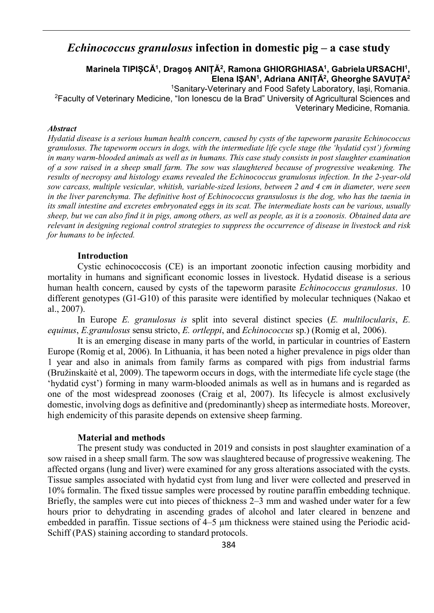# *Echinococcus granulosus* **infection in domestic pig – a case study**

# **Marinela TIPIȘCĂ1, Dragoș ANIȚĂ2, Ramona GHIORGHIASA1, GabrielaURSACHI1, Elena IȘAN1, Adriana ANIȚĂ2, Gheorghe SAVUȚA2**

1Sanitary-Veterinary and Food Safety Laboratory, Iași, Romania. 2Faculty of Veterinary Medicine, "Ion Ionescu de la Brad" University of Agricultural Sciences and

Veterinary Medicine, Romania*.*

#### *Abstract*

*Hydatid disease is a serious human health concern, caused by cysts of the tapeworm parasite Echinococcus granulosus. The tapeworm occurs in dogs, with the intermediate life cycle stage (the 'hydatid cyst') forming*  in many warm-blooded animals as well as in humans. This case study consists in post slaughter examination *of a sow raised in a sheep small farm. The sow was slaughtered because of progressive weakening. The results of necropsy and histology exams revealed the Echinococcus granulosus infection. In the 2-year-old sow carcass, multiple vesicular, whitish, variable-sized lesions, between 2 and 4 cm in diameter, were seen in the liver parenchyma. The definitive host of Echinococcus gransulosus is the dog, who has the taenia in its small intestine and excretes embryonated eggs in its scat. The intermediate hosts can be various, usually*  sheep, but we can also find it in pigs, among others, as well as people, as it is a zoonosis. Obtained data are *relevant in designing regional control strategies to suppress the occurrence of disease in livestock and risk for humans to be infected.*

## **Introduction**

Cystic echinococcosis (CE) is an important zoonotic infection causing morbidity and mortality in humans and significant economic losses in livestock. Hydatid disease is a serious human health concern, caused by cysts of the tapeworm parasite *Echinococcus granulosus*. 10 different genotypes (G1-G10) of this parasite were identified by molecular techniques (Nakao et al., 2007).

In Europe *E. granulosus is* split into several distinct species (*E. multilocularis*, *E. equinus*, *E.granulosus* sensu stricto, *E. ortleppi*, and *Echinococcus* sp.) (Romig et al, 2006).

It is an emerging disease in many parts of the world, in particular in countries of Eastern Europe (Romig et al, 2006). In Lithuania, it has been noted a higher prevalence in pigs older than 1 year and also in animals from family farms as compared with pigs from industrial farms [\(Bružinskaitė](https://www.sciencedirect.com/science/article/abs/pii/S0304401708006596#!) et al, 2009). The tapeworm occurs in dogs, with the intermediate life cycle stage (the 'hydatid cyst') forming in many warm-blooded animals as well as in humans and is regarded as one of the most widespread zoonoses (Craig et al, 2007). Its lifecycle is almost exclusively domestic, involving dogs as definitive and (predominantly) sheep as intermediate hosts. Moreover, high endemicity of this parasite depends on extensive sheep farming.

#### **Material and methods**

The present study was conducted in 2019 and consists in post slaughter examination of a sow raised in a sheep small farm. The sow was slaughtered because of progressive weakening. The affected organs (lung and liver) were examined for any gross alterations associated with the cysts. Tissue samples associated with hydatid cyst from lung and liver were collected and preserved in 10% formalin. The fixed tissue samples were processed by routine paraffin embedding technique. Briefly, the samples were cut into pieces of thickness 2–3 mm and washed under water for a few hours prior to dehydrating in ascending grades of alcohol and later cleared in benzene and embedded in paraffin. Tissue sections of 4–5  $\mu$ m thickness were stained using the Periodic acid-Schiff (PAS) staining according to standard protocols.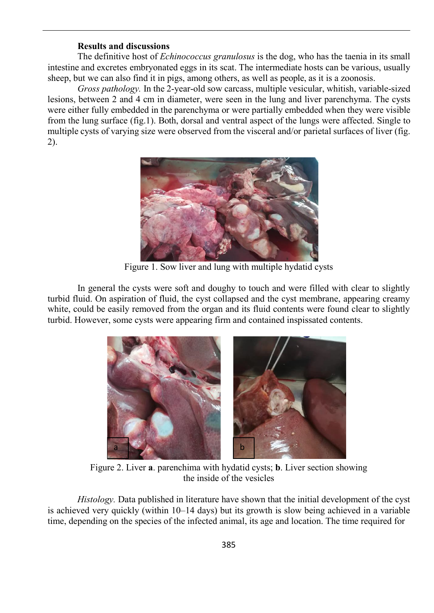### **Results and discussions**

The definitive host of *Echinococcus granulosus* is the dog, who has the taenia in its small intestine and excretes embryonated eggs in its scat. The intermediate hosts can be various, usually sheep, but we can also find it in pigs, among others, as well as people, as it is a zoonosis.

*Gross pathology.* In the 2-year-old sow carcass, multiple vesicular, whitish, variable-sized lesions, between 2 and 4 cm in diameter, were seen in the lung and liver parenchyma. The cysts were either fully embedded in the parenchyma or were partially embedded when they were visible from the lung surface (fig.1). Both, dorsal and ventral aspect of the lungs were affected. Single to multiple cysts of varying size were observed from the visceral and/or parietal surfaces of liver (fig. 2).



Figure 1. Sow liver and lung with multiple hydatid cysts

In general the cysts were soft and doughy to touch and were filled with clear to slightly turbid fluid. On aspiration of fluid, the cyst collapsed and the cyst membrane, appearing creamy white, could be easily removed from the organ and its fluid contents were found clear to slightly turbid. However, some cysts were appearing firm and contained inspissated contents.



Figure 2. Liver **a**. parenchima with hydatid cysts; **b**. Liver section showing the inside of the vesicles

*Histology.* Data published in literature have shown that the initial development of the cyst is achieved very quickly (within 10–14 days) but its growth is slow being achieved in a variable time, depending on the species of the infected animal, its age and location. The time required for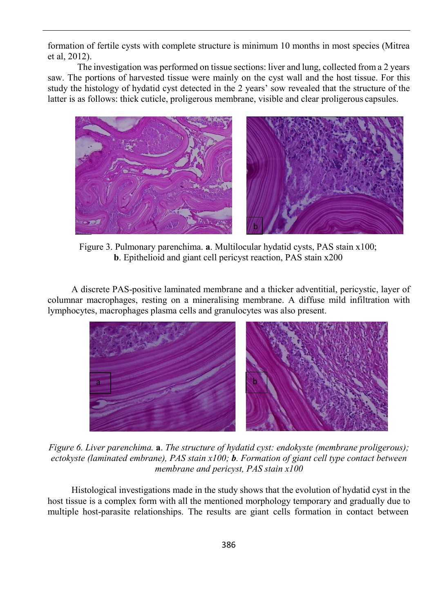formation of fertile cysts with complete structure is minimum 10 months in most species (Mitrea et al, 2012).

The investigation was performed on tissue sections: liver and lung, collected from a 2 years saw. The portions of harvested tissue were mainly on the cyst wall and the host tissue. For this study the histology of hydatid cyst detected in the 2 years' sow revealed that the structure of the latter is as follows: thick cuticle, proligerous membrane, visible and clear proligerous capsules.



Figure 3. Pulmonary parenchima. **a**. Multilocular hydatid cysts, PAS stain x100; **b**. Epithelioid and giant cell pericyst reaction, PAS stain x200

A discrete PAS-positive laminated membrane and a thicker adventitial, pericystic, layer of columnar macrophages, resting on a mineralising membrane. A diffuse mild infiltration with lymphocytes, macrophages plasma cells and granulocytes was also present.



*Figure 6. Liver parenchima.* **a**. *The structure of hydatid cyst: endokyste (membrane proligerous); ectokyste (laminated embrane), PAS stain x100; b. Formation of giant cell type contact between membrane and pericyst, PAS stain x100*

Histological investigations made in the study shows that the evolution of hydatid cyst in the host tissue is a complex form with all the mentioned morphology temporary and gradually due to multiple host-parasite relationships. The results are giant cells formation in contact between